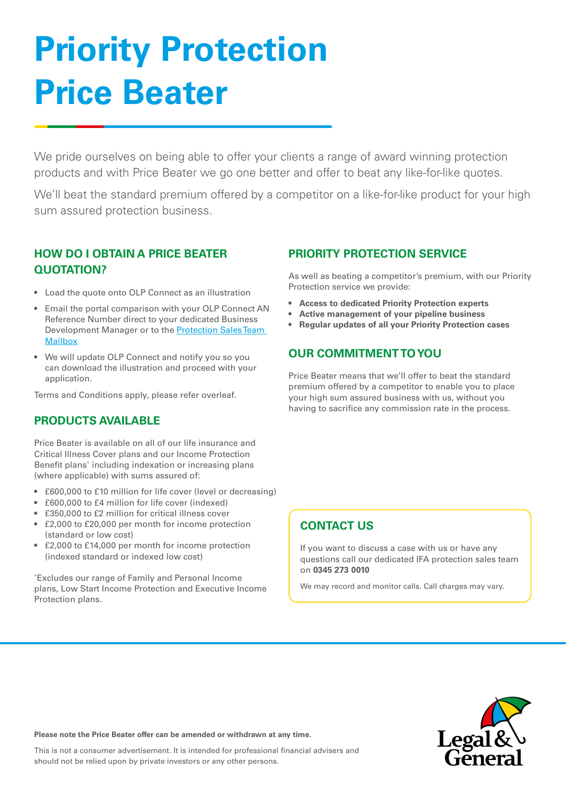# **Priority Protection Price Beater**

We pride ourselves on being able to offer your clients a range of award winning protection products and with Price Beater we go one better and offer to beat any like-for-like quotes.

We'll beat the standard premium offered by a competitor on a like-for-like product for your high sum assured protection business.

### **HOW DO I OBTAIN A PRICE BEATER QUOTATION?**

- Load the quote onto OLP Connect as an illustration
- Email the portal comparison with your OLP Connect AN Reference Number direct to your dedicated Business Development Manager or to the [Protection Sales Team](mailto:ifaprotection%40landg.com?subject=)  **[Mailbox](mailto:ifaprotection%40landg.com?subject=)**
- We will update OLP Connect and notify you so you can download the illustration and proceed with your application.

Terms and Conditions apply, please refer overleaf.

### **PRODUCTS AVAILABLE**

Price Beater is available on all of our life insurance and Critical Illness Cover plans and our Income Protection Benefit plans\* including indexation or increasing plans (where applicable) with sums assured of:

- £600,000 to £10 million for life cover (level or decreasing)
- £600,000 to £4 million for life cover (indexed)
- £350,000 to £2 million for critical illness cover
- £2,000 to £20,000 per month for income protection (standard or low cost)
- £2,000 to £14,000 per month for income protection (indexed standard or indexed low cost)

\* Excludes our range of Family and Personal Income plans, Low Start Income Protection and Executive Income Protection plans.

### **PRIORITY PROTECTION SERVICE**

As well as beating a competitor's premium, with our Priority Protection service we provide:

- **• Access to dedicated Priority Protection experts**
- **• Active management of your pipeline business**
- **• Regular updates of all your Priority Protection cases**

### **OUR COMMITMENT TO YOU**

Price Beater means that we'll offer to beat the standard premium offered by a competitor to enable you to place your high sum assured business with us, without you having to sacrifice any commission rate in the process.

### **CONTACT US**

If you want to discuss a case with us or have any questions call our dedicated IFA protection sales team on **0345 273 0010**

We may record and monitor calls. Call charges may vary.



**Please note the Price Beater offer can be amended or withdrawn at any time.** 

This is not a consumer advertisement. It is intended for professional financial advisers and should not be relied upon by private investors or any other persons.